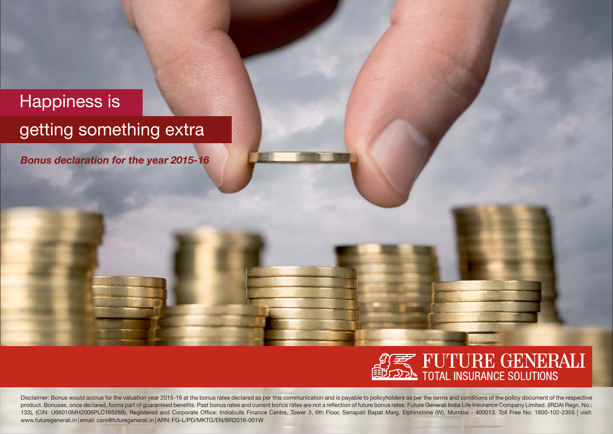## Happiness is

## getting something extra

*Bonus declaration for the year 2015-16*



Disclaimer: Bonus would accrue for the valuation year 2015-16 at the bonus rates declared as per this communication and is payable to policyholders as per the terms and conditions of the policy document of the respective product. Bonuses, once declared, forms part of guaranteed benefits. Past bonus rates and current bonus rates are not a reflection of future bonus rates. Future Generali India Life Insurance Company Limited. (IRDAI Regn. No 133), (CIN: U66010MH2006PLC165288), Registered and Corporate Office: Indiabulls Finance Centre, Tower 3, 6th Floor, Senapati Bapat Marg, Elphinstone (W), Mumbai - 400013. Toll Free No: 1800-102-2355 | visit: www.futuregenerali.in | email: care@futuregenerali.in | ARN: FG-L/PD/MKTG/EN/BR2016-001W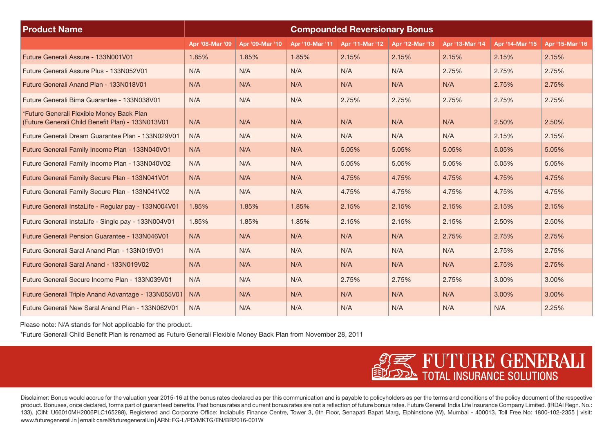| <b>Product Name</b>                                                                            | <b>Compounded Reversionary Bonus</b> |                 |                 |                 |                 |                 |                 |                 |
|------------------------------------------------------------------------------------------------|--------------------------------------|-----------------|-----------------|-----------------|-----------------|-----------------|-----------------|-----------------|
|                                                                                                | Apr '08-Mar '09                      | Apr '09-Mar '10 | Apr '10-Mar '11 | Apr '11-Mar '12 | Apr '12-Mar '13 | Apr '13-Mar '14 | Apr '14-Mar '15 | Apr '15-Mar '16 |
| Future Generali Assure - 133N001V01                                                            | 1.85%                                | 1.85%           | 1.85%           | 2.15%           | 2.15%           | 2.15%           | 2.15%           | 2.15%           |
| Future Generali Assure Plus - 133N052V01                                                       | N/A                                  | N/A             | N/A             | N/A             | N/A             | 2.75%           | 2.75%           | 2.75%           |
| Future Generali Anand Plan - 133N018V01                                                        | N/A                                  | N/A             | N/A             | N/A             | N/A             | N/A             | 2.75%           | 2.75%           |
| Future Generali Bima Guarantee - 133N038V01                                                    | N/A                                  | N/A             | N/A             | 2.75%           | 2.75%           | 2.75%           | 2.75%           | 2.75%           |
| *Future Generali Flexible Money Back Plan<br>(Future Generali Child Benefit Plan) - 133N013V01 | N/A                                  | N/A             | N/A             | N/A             | N/A             | N/A             | 2.50%           | 2.50%           |
| Future Generali Dream Guarantee Plan - 133N029V01                                              | N/A                                  | N/A             | N/A             | N/A             | N/A             | N/A             | 2.15%           | 2.15%           |
| Future Generali Family Income Plan - 133N040V01                                                | N/A                                  | N/A             | N/A             | 5.05%           | 5.05%           | 5.05%           | 5.05%           | 5.05%           |
| Future Generali Family Income Plan - 133N040V02                                                | N/A                                  | N/A             | N/A             | 5.05%           | 5.05%           | 5.05%           | 5.05%           | 5.05%           |
| Future Generali Family Secure Plan - 133N041V01                                                | N/A                                  | N/A             | N/A             | 4.75%           | 4.75%           | 4.75%           | 4.75%           | 4.75%           |
| Future Generali Family Secure Plan - 133N041V02                                                | N/A                                  | N/A             | N/A             | 4.75%           | 4.75%           | 4.75%           | 4.75%           | 4.75%           |
| Future Generali InstaLife - Regular pay - 133N004V01                                           | 1.85%                                | 1.85%           | 1.85%           | 2.15%           | 2.15%           | 2.15%           | 2.15%           | 2.15%           |
| Future Generali InstaLife - Single pay - 133N004V01                                            | 1.85%                                | 1.85%           | 1.85%           | 2.15%           | 2.15%           | 2.15%           | 2.50%           | 2.50%           |
| Future Generali Pension Guarantee - 133N046V01                                                 | N/A                                  | N/A             | N/A             | N/A             | N/A             | 2.75%           | 2.75%           | 2.75%           |
| Future Generali Saral Anand Plan - 133N019V01                                                  | N/A                                  | N/A             | N/A             | N/A             | N/A             | N/A             | 2.75%           | 2.75%           |
| Future Generali Saral Anand - 133N019V02                                                       | N/A                                  | N/A             | N/A             | N/A             | N/A             | N/A             | 2.75%           | 2.75%           |
| Future Generali Secure Income Plan - 133N039V01                                                | N/A                                  | N/A             | N/A             | 2.75%           | 2.75%           | 2.75%           | 3.00%           | 3.00%           |
| Future Generali Triple Anand Advantage - 133N055V01                                            | N/A                                  | N/A             | N/A             | N/A             | N/A             | N/A             | 3.00%           | 3.00%           |
| Future Generali New Saral Anand Plan - 133N062V01                                              | N/A                                  | N/A             | N/A             | N/A             | N/A             | N/A             | N/A             | 2.25%           |

Please note: N/A stands for Not applicable for the product.

\*Future Generali Child Benefit Plan is renamed as Future Generali Flexible Money Back Plan from November 28, 2011



Disclaimer: Bonus would accrue for the valuation year 2015-16 at the bonus rates declared as per this communication and is payable to policyholders as per the terms and conditions of the policy document of the respective product. Bonuses, once declared, forms part of quaranteed benefits. Past bonus rates and current bonus rates are not a reflection of future bonus rates. Future Generali India Life Insurance Company Limited. (IRDAI Regn. No 133), (CIN: U66010MH2006PLC165288), Registered and Corporate Office: Indiabulls Finance Centre, Tower 3, 6th Floor, Senapati Bapat Marg, Elphinstone (W), Mumbai - 400013. Toll Free No: 1800-102-2355 | visit: www.futuregenerali.in | email: care@futuregenerali.in | ARN: FG-L/PD/MKTG/EN/BR2016-001W